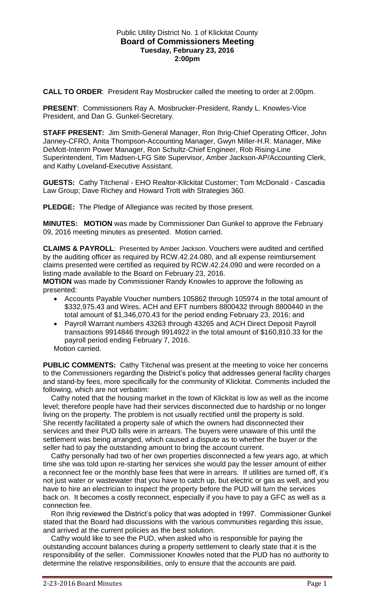### Public Utility District No. 1 of Klickitat County **Board of Commissioners Meeting Tuesday, February 23, 2016 2:00pm**

**CALL TO ORDER**: President Ray Mosbrucker called the meeting to order at 2:00pm.

**PRESENT**: Commissioners Ray A. Mosbrucker-President, Randy L. Knowles-Vice President, and Dan G. Gunkel-Secretary.

**STAFF PRESENT:** Jim Smith-General Manager, Ron Ihrig-Chief Operating Officer, John Janney-CFRO, Anita Thompson-Accounting Manager, Gwyn Miller-H.R. Manager, Mike DeMott-Interim Power Manager, Ron Schultz-Chief Engineer, Rob Rising-Line Superintendent, Tim Madsen-LFG Site Supervisor, Amber Jackson-AP/Accounting Clerk, and Kathy Loveland-Executive Assistant.

**GUESTS:** Cathy Titchenal - EHO Realtor-Klickitat Customer; Tom McDonald - Cascadia Law Group; Dave Richey and Howard Trott with Strategies 360.

**PLEDGE:** The Pledge of Allegiance was recited by those present.

**MINUTES: MOTION** was made by Commissioner Dan Gunkel to approve the February 09, 2016 meeting minutes as presented. Motion carried.

**CLAIMS & PAYROLL**: Presented by Amber Jackson. Vouchers were audited and certified by the auditing officer as required by RCW.42.24.080, and all expense reimbursement claims presented were certified as required by RCW.42.24.090 and were recorded on a listing made available to the Board on February 23, 2016.

**MOTION** was made by Commissioner Randy Knowles to approve the following as presented:

- Accounts Payable Voucher numbers 105862 through 105974 in the total amount of \$332,975.43 and Wires, ACH and EFT numbers 8800432 through 8800440 in the total amount of \$1,346,070.43 for the period ending February 23, 2016; and
- Payroll Warrant numbers 43263 through 43265 and ACH Direct Deposit Payroll transactions 9914846 through 9914922 in the total amount of \$160,810.33 for the payroll period ending February 7, 2016.

Motion carried.

**PUBLIC COMMENTS:** Cathy Titchenal was present at the meeting to voice her concerns to the Commissioners regarding the District's policy that addresses general facility charges and stand-by fees, more specifically for the community of Klickitat. Comments included the following, which are not verbatim:

 Cathy noted that the housing market in the town of Klickitat is low as well as the income level; therefore people have had their services disconnected due to hardship or no longer living on the property. The problem is not usually rectified until the property is sold. She recently facilitated a property sale of which the owners had disconnected their services and their PUD bills were in arrears. The buyers were unaware of this until the settlement was being arranged, which caused a dispute as to whether the buyer or the seller had to pay the outstanding amount to bring the account current.

 Cathy personally had two of her own properties disconnected a few years ago, at which time she was told upon re-starting her services she would pay the lesser amount of either a reconnect fee or the monthly base fees that were in arrears. If utilities are turned off, it's not just water or wastewater that you have to catch up, but electric or gas as well, and you have to hire an electrician to inspect the property before the PUD will turn the services back on. It becomes a costly reconnect, especially if you have to pay a GFC as well as a connection fee.

 Ron Ihrig reviewed the District's policy that was adopted in 1997. Commissioner Gunkel stated that the Board had discussions with the various communities regarding this issue, and arrived at the current policies as the best solution.

 Cathy would like to see the PUD, when asked who is responsible for paying the outstanding account balances during a property settlement to clearly state that it is the responsibility of the seller. Commissioner Knowles noted that the PUD has no authority to determine the relative responsibilities, only to ensure that the accounts are paid.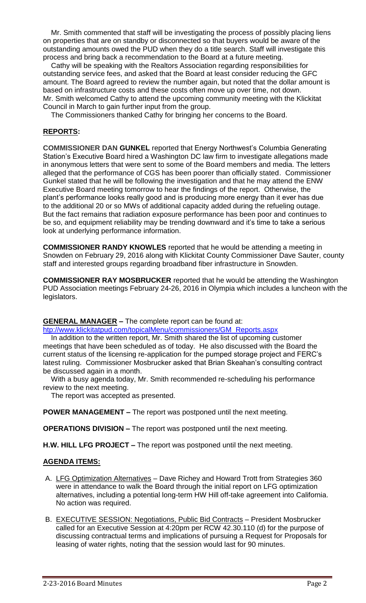Mr. Smith commented that staff will be investigating the process of possibly placing liens on properties that are on standby or disconnected so that buyers would be aware of the outstanding amounts owed the PUD when they do a title search. Staff will investigate this process and bring back a recommendation to the Board at a future meeting.

 Cathy will be speaking with the Realtors Association regarding responsibilities for outstanding service fees, and asked that the Board at least consider reducing the GFC amount. The Board agreed to review the number again, but noted that the dollar amount is based on infrastructure costs and these costs often move up over time, not down. Mr. Smith welcomed Cathy to attend the upcoming community meeting with the Klickitat Council in March to gain further input from the group.

The Commissioners thanked Cathy for bringing her concerns to the Board.

# **REPORTS:**

**COMMISSIONER DAN GUNKEL** reported that Energy Northwest's Columbia Generating Station's Executive Board hired a Washington DC law firm to investigate allegations made in anonymous letters that were sent to some of the Board members and media. The letters alleged that the performance of CGS has been poorer than officially stated. Commissioner Gunkel stated that he will be following the investigation and that he may attend the ENW Executive Board meeting tomorrow to hear the findings of the report. Otherwise, the plant's performance looks really good and is producing more energy than it ever has due to the additional 20 or so MWs of additional capacity added during the refueling outage. But the fact remains that radiation exposure performance has been poor and continues to be so, and equipment reliability may be trending downward and it's time to take a serious look at underlying performance information.

**COMMISSIONER RANDY KNOWLES** reported that he would be attending a meeting in Snowden on February 29, 2016 along with Klickitat County Commissioner Dave Sauter, county staff and interested groups regarding broadband fiber infrastructure in Snowden.

**COMMISSIONER RAY MOSBRUCKER** reported that he would be attending the Washington PUD Association meetings February 24-26, 2016 in Olympia which includes a luncheon with the legislators.

## **GENERAL MANAGER –** The complete report can be found at:

[htp://www.klickitatpud.com/topicalMenu/commissioners/GM\\_Reports.aspx](http://www.klickitatpud.com/topicalMenu/commissioners/GM_Reports.aspx)

 In addition to the written report, Mr. Smith shared the list of upcoming customer meetings that have been scheduled as of today. He also discussed with the Board the current status of the licensing re-application for the pumped storage project and FERC's latest ruling. Commissioner Mosbrucker asked that Brian Skeahan's consulting contract be discussed again in a month.

 With a busy agenda today, Mr. Smith recommended re-scheduling his performance review to the next meeting.

The report was accepted as presented.

**POWER MANAGEMENT –** The report was postponed until the next meeting.

**OPERATIONS DIVISION –** The report was postponed until the next meeting.

**H.W. HILL LFG PROJECT –** The report was postponed until the next meeting.

### **AGENDA ITEMS:**

- A. LFG Optimization Alternatives Dave Richey and Howard Trott from Strategies 360 were in attendance to walk the Board through the initial report on LFG optimization alternatives, including a potential long-term HW Hill off-take agreement into California. No action was required.
- B. EXECUTIVE SESSION: Negotiations, Public Bid Contracts President Mosbrucker called for an Executive Session at 4:20pm per RCW 42.30.110 (d) for the purpose of discussing contractual terms and implications of pursuing a Request for Proposals for leasing of water rights, noting that the session would last for 90 minutes.